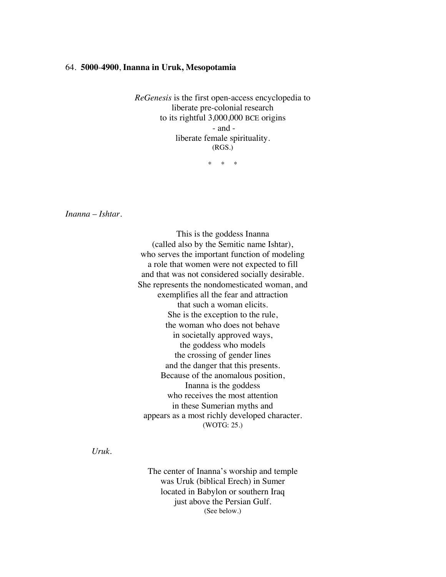## 64. **5000**-**4900**, **Inanna in Uruk, Mesopotamia**

*ReGenesis* is the first open-access encyclopedia to liberate pre-colonial research to its rightful 3,000,000 BCE origins - and liberate female spirituality. (RGS.)

\* \* \*

*Inanna* – *Ishtar.*

This is the goddess Inanna (called also by the Semitic name Ishtar), who serves the important function of modeling a role that women were not expected to fill and that was not considered socially desirable. She represents the nondomesticated woman, and exemplifies all the fear and attraction that such a woman elicits. She is the exception to the rule, the woman who does not behave in societally approved ways, the goddess who models the crossing of gender lines and the danger that this presents. Because of the anomalous position, Inanna is the goddess who receives the most attention in these Sumerian myths and appears as a most richly developed character. (WOTG: 25.)

*Uruk.*

The center of Inanna's worship and temple was Uruk (biblical Erech) in Sumer located in Babylon or southern Iraq just above the Persian Gulf. (See below.)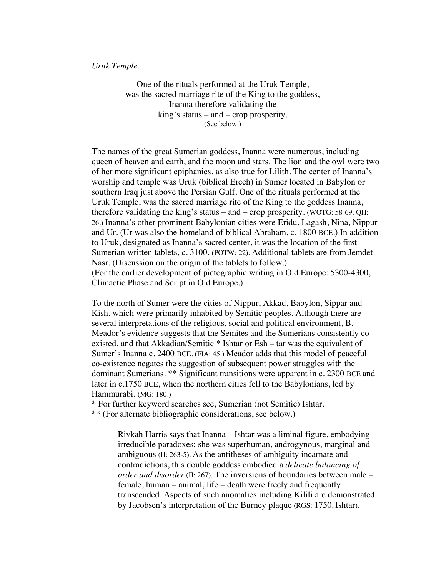*Uruk Temple.*

One of the rituals performed at the Uruk Temple, was the sacred marriage rite of the King to the goddess, Inanna therefore validating the king's status – and – crop prosperity. (See below.)

The names of the great Sumerian goddess, Inanna were numerous, including queen of heaven and earth, and the moon and stars. The lion and the owl were two of her more significant epiphanies, as also true for Lilith. The center of Inanna's worship and temple was Uruk (biblical Erech) in Sumer located in Babylon or southern Iraq just above the Persian Gulf. One of the rituals performed at the Uruk Temple, was the sacred marriage rite of the King to the goddess Inanna, therefore validating the king's status – and – crop prosperity. (WOTG: 58-69; QH: 26.) Inanna's other prominent Babylonian cities were Eridu, Lagash, Nina, Nippur and Ur. (Ur was also the homeland of biblical Abraham, c. 1800 BCE.) In addition to Uruk, designated as Inanna's sacred center, it was the location of the first Sumerian written tablets, c. 3100. (POTW: 22). Additional tablets are from Jemdet Nasr. (Discussion on the origin of the tablets to follow.) (For the earlier development of pictographic writing in Old Europe: 5300-4300, Climactic Phase and Script in Old Europe.)

To the north of Sumer were the cities of Nippur, Akkad, Babylon, Sippar and Kish, which were primarily inhabited by Semitic peoples. Although there are several interpretations of the religious, social and political environment, B. Meador's evidence suggests that the Semites and the Sumerians consistently coexisted, and that Akkadian/Semitic \* Ishtar or Esh – tar was the equivalent of Sumer's Inanna c. 2400 BCE. (FIA: 45.) Meador adds that this model of peaceful co-existence negates the suggestion of subsequent power struggles with the dominant Sumerians. \*\* Significant transitions were apparent in c. 2300 BCE and later in c.1750 BCE, when the northern cities fell to the Babylonians, led by Hammurabi. (MG: 180.)

\* For further keyword searches see, Sumerian (not Semitic) Ishtar. \*\* (For alternate bibliographic considerations, see below.)

> Rivkah Harris says that Inanna – Ishtar was a liminal figure, embodying irreducible paradoxes: she was superhuman, androgynous, marginal and ambiguous (II: 263-5). As the antitheses of ambiguity incarnate and contradictions, this double goddess embodied a *delicate balancing of order and disorder* (II: 267). The inversions of boundaries between male – female, human – animal, life – death were freely and frequently transcended. Aspects of such anomalies including Kilili are demonstrated by Jacobsen's interpretation of the Burney plaque (RGS: 1750, Ishtar).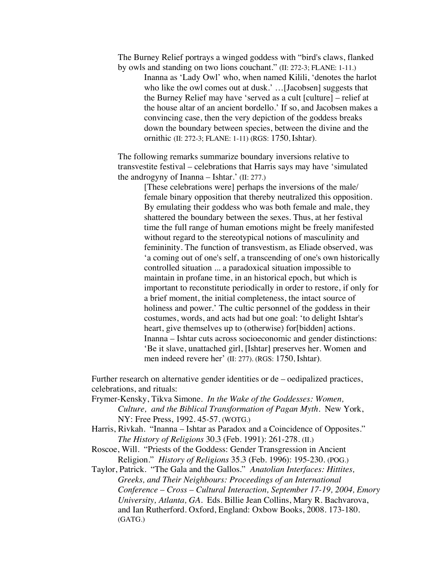The Burney Relief portrays a winged goddess with "bird's claws, flanked by owls and standing on two lions couchant." (II: 272-3; FLANE: 1-11.)

Inanna as 'Lady Owl' who, when named Kilili, 'denotes the harlot who like the owl comes out at dusk.' …[Jacobsen] suggests that the Burney Relief may have 'served as a cult [culture] – relief at the house altar of an ancient bordello.' If so, and Jacobsen makes a convincing case, then the very depiction of the goddess breaks down the boundary between species, between the divine and the ornithic (II: 272-3; FLANE: 1-11) (RGS: 1750, Ishtar).

The following remarks summarize boundary inversions relative to transvestite festival – celebrations that Harris says may have 'simulated the androgyny of Inanna – Ishtar.' (II: 277.)

> [These celebrations were] perhaps the inversions of the male/ female binary opposition that thereby neutralized this opposition. By emulating their goddess who was both female and male, they shattered the boundary between the sexes. Thus, at her festival time the full range of human emotions might be freely manifested without regard to the stereotypical notions of masculinity and femininity. The function of transvestism, as Eliade observed, was 'a coming out of one's self, a transcending of one's own historically controlled situation ... a paradoxical situation impossible to maintain in profane time, in an historical epoch, but which is important to reconstitute periodically in order to restore, if only for a brief moment, the initial completeness, the intact source of holiness and power.' The cultic personnel of the goddess in their costumes, words, and acts had but one goal: 'to delight Ishtar's heart, give themselves up to (otherwise) for [bidden] actions. Inanna – Ishtar cuts across socioeconomic and gender distinctions: 'Be it slave, unattached girl, [Ishtar] preserves her. Women and men indeed revere her' (II: 277). (RGS: 1750, Ishtar).

Further research on alternative gender identities or de – oedipalized practices, celebrations, and rituals:

- Frymer-Kensky, Tikva Simone. *In the Wake of the Goddesses: Women, Culture, and the Biblical Transformation of Pagan Myth*. New York, NY: Free Press, 1992. 45-57. (WOTG.)
- Harris, Rivkah. "Inanna Ishtar as Paradox and a Coincidence of Opposites." *The History of Religions* 30.3 (Feb. 1991): 261-278. (II.)
- Roscoe, Will. "Priests of the Goddess: Gender Transgression in Ancient Religion." *History of Religions* 35.3 (Feb. 1996): 195-230. (POG.)

Taylor, Patrick. "The Gala and the Gallos." *Anatolian Interfaces: Hittites, Greeks, and Their Neighbours: Proceedings of an International Conference* – *Cross* – *Cultural Interaction, September 17-19, 2004, Emory University, Atlanta, GA.* Eds. Billie Jean Collins, Mary R. Bachvarova, and Ian Rutherford. Oxford, England: Oxbow Books, 2008. 173-180. (GATG.)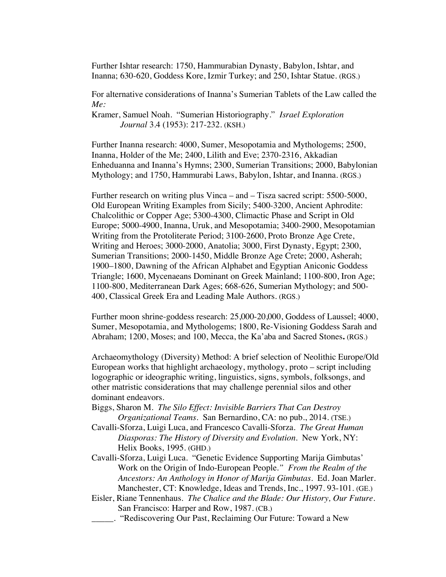Further Ishtar research: 1750, Hammurabian Dynasty, Babylon, Ishtar, and Inanna; 630-620, Goddess Kore, Izmir Turkey; and 250, Ishtar Statue. (RGS.)

For alternative considerations of Inanna's Sumerian Tablets of the Law called the *Me:*

Kramer, Samuel Noah. "Sumerian Historiography." *Israel Exploration Journal* 3.4 (1953): 217-232. (KSH.)

Further Inanna research: 4000, Sumer, Mesopotamia and Mythologems; 2500, Inanna, Holder of the Me; 2400, Lilith and Eve; 2370-2316, Akkadian Enheduanna and Inanna's Hymns; 2300, Sumerian Transitions; 2000, Babylonian Mythology; and 1750, Hammurabi Laws, Babylon, Ishtar, and Inanna. (RGS.)

Further research on writing plus Vinca – and – Tisza sacred script: 5500-5000, Old European Writing Examples from Sicily; 5400-3200, Ancient Aphrodite: Chalcolithic or Copper Age; 5300-4300, Climactic Phase and Script in Old Europe; 5000-4900, Inanna, Uruk, and Mesopotamia; 3400-2900, Mesopotamian Writing from the Protoliterate Period; 3100-2600, Proto Bronze Age Crete, Writing and Heroes; 3000-2000, Anatolia; 3000, First Dynasty, Egypt; 2300, Sumerian Transitions; 2000-1450, Middle Bronze Age Crete; 2000, Asherah; 1900–1800, Dawning of the African Alphabet and Egyptian Aniconic Goddess Triangle; 1600, Mycenaeans Dominant on Greek Mainland; 1100-800, Iron Age; 1100-800, Mediterranean Dark Ages; 668-626, Sumerian Mythology; and 500- 400, Classical Greek Era and Leading Male Authors. (RGS.)

Further moon shrine-goddess research: 25,000-20,000, Goddess of Laussel; 4000, Sumer, Mesopotamia, and Mythologems; 1800, Re-Visioning Goddess Sarah and Abraham; 1200, Moses; and 100, Mecca, the Ka'aba and Sacred Stones**.** (RGS.)

Archaeomythology (Diversity) Method: A brief selection of Neolithic Europe/Old European works that highlight archaeology, mythology, proto – script including logographic or ideographic writing, linguistics, signs, symbols, folksongs, and other matristic considerations that may challenge perennial silos and other dominant endeavors.

- Biggs, Sharon M. *The Silo Effect: Invisible Barriers That Can Destroy Organizational Teams*. San Bernardino, CA: no pub., 2014. (TSE.)
- Cavalli-Sforza, Luigi Luca, and Francesco Cavalli-Sforza. *The Great Human Diasporas: The History of Diversity and Evolution*. New York, NY: Helix Books, 1995. (GHD.)
- Cavalli-Sforza, Luigi Luca. "Genetic Evidence Supporting Marija Gimbutas' Work on the Origin of Indo-European People*." From the Realm of the Ancestors: An Anthology in Honor of Marija Gimbutas*. Ed. Joan Marler. Manchester, CT: Knowledge, Ideas and Trends, Inc., 1997. 93-101. (GE.)
- Eisler, Riane Tennenhaus. *The Chalice and the Blade: Our History, Our Future.* San Francisco: Harper and Row, 1987. (CB.)
	- \_\_\_\_\_. "Rediscovering Our Past, Reclaiming Our Future: Toward a New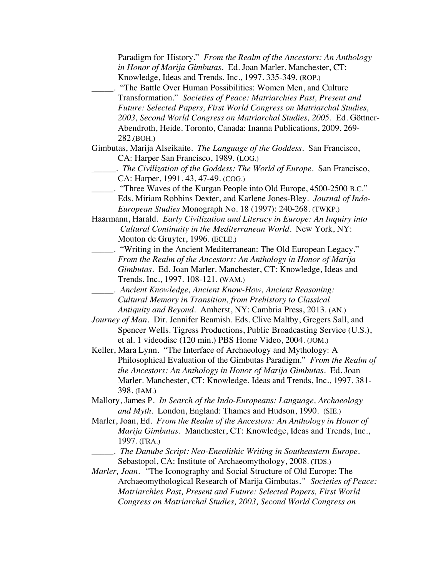| Paradigm for History." From the Realm of the Ancestors: An Anthology          |
|-------------------------------------------------------------------------------|
| in Honor of Marija Gimbutas. Ed. Joan Marler. Manchester, CT:                 |
| Knowledge, Ideas and Trends, Inc., 1997. 335-349. (ROP.)                      |
| "The Battle Over Human Possibilities: Women Men, and Culture                  |
| Transformation." Societies of Peace: Matriarchies Past, Present and           |
| Future: Selected Papers, First World Congress on Matriarchal Studies,         |
| 2003, Second World Congress on Matriarchal Studies, 2005. Ed. Göttner-        |
|                                                                               |
| Abendroth, Heide. Toronto, Canada: Inanna Publications, 2009. 269-            |
| 282.(BOH.)                                                                    |
| Gimbutas, Marija Alseikaite. The Language of the Goddess. San Francisco,      |
| CA: Harper San Francisco, 1989. (LOG.)                                        |
| . The Civilization of the Goddess: The World of Europe. San Francisco,        |
| CA: Harper, 1991. 43, 47-49. (COG.)                                           |
| "Three Waves of the Kurgan People into Old Europe, 4500-2500 B.C."            |
| Eds. Miriam Robbins Dexter, and Karlene Jones-Bley. Journal of Indo-          |
| European Studies Monograph No. 18 (1997): 240-268. (TWKP.)                    |
| Haarmann, Harald. Early Civilization and Literacy in Europe: An Inquiry into  |
| Cultural Continuity in the Mediterranean World. New York, NY:                 |
| Mouton de Gruyter, 1996. (ECLE.)                                              |
| "Writing in the Ancient Mediterranean: The Old European Legacy."              |
| From the Realm of the Ancestors: An Anthology in Honor of Marija              |
|                                                                               |
| Gimbutas. Ed. Joan Marler. Manchester, CT: Knowledge, Ideas and               |
| Trends, Inc., 1997. 108-121. (WAM.)                                           |
| _. Ancient Knowledge, Ancient Know-How, Ancient Reasoning:                    |
| Cultural Memory in Transition, from Prehistory to Classical                   |
| Antiquity and Beyond. Amherst, NY: Cambria Press, 2013. (AN.)                 |
| Journey of Man. Dir. Jennifer Beamish. Eds. Clive Maltby, Gregers Sall, and   |
| Spencer Wells. Tigress Productions, Public Broadcasting Service (U.S.),       |
| et al. 1 videodisc (120 min.) PBS Home Video, 2004. (JOM.)                    |
| Keller, Mara Lynn. "The Interface of Archaeology and Mythology: A             |
| Philosophical Evaluation of the Gimbutas Paradigm." From the Realm of         |
| the Ancestors: An Anthology in Honor of Marija Gimbutas. Ed. Joan             |
| Marler. Manchester, CT: Knowledge, Ideas and Trends, Inc., 1997. 381-         |
| 398. (IAM.)                                                                   |
| Mallory, James P. In Search of the Indo-Europeans: Language, Archaeology      |
| and Myth. London, England: Thames and Hudson, 1990. (SIE.)                    |
| Marler, Joan, Ed. From the Realm of the Ancestors: An Anthology in Honor of   |
|                                                                               |
| Marija Gimbutas. Manchester, CT: Knowledge, Ideas and Trends, Inc.,           |
| 1997. (FRA.)                                                                  |
| _. The Danube Script: Neo-Eneolithic Writing in Southeastern Europe.          |
| Sebastopol, CA: Institute of Archaeomythology, 2008. (TDS.)                   |
| <i>Marler, Joan.</i> "The Iconography and Social Structure of Old Europe: The |
| Archaeomythological Research of Marija Gimbutas." Societies of Peace:         |
| Matriarchies Past, Present and Future: Selected Papers, First World           |
| Congress on Matriarchal Studies, 2003, Second World Congress on               |
|                                                                               |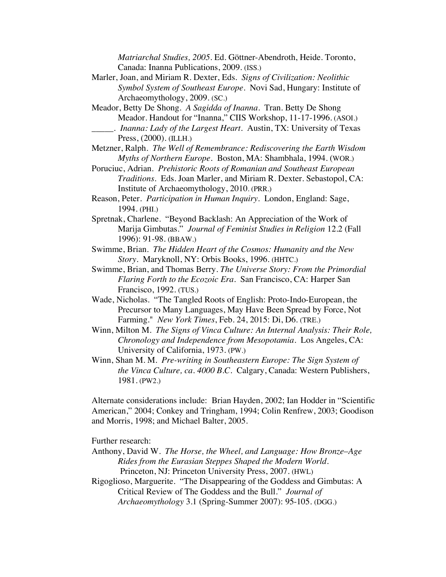*Matriarchal Studies, 2005*. Ed. Göttner-Abendroth, Heide. Toronto, Canada: Inanna Publications, 2009. (ISS.)

Marler, Joan, and Miriam R. Dexter, Eds. *Signs of Civilization: Neolithic Symbol System of Southeast Europe*. Novi Sad, Hungary: Institute of Archaeomythology, 2009. (SC.)

Meador, Betty De Shong. *A Sagidda of Inanna*. Tran. Betty De Shong Meador. Handout for "Inanna," CIIS Workshop, 11-17-1996. (ASOI.) \_\_\_\_\_. *Inanna: Lady of the Largest Heart*. Austin, TX: University of Texas Press, (2000). (ILLH.)

- Metzner, Ralph. *The Well of Remembrance: Rediscovering the Earth Wisdom Myths of Northern Europe.* Boston, MA: Shambhala, 1994. (WOR.)
- Poruciuc, Adrian. *Prehistoric Roots of Romanian and Southeast European Traditions*. Eds. Joan Marler, and Miriam R. Dexter. Sebastopol, CA: Institute of Archaeomythology, 2010. (PRR.)
- Reason, Peter. *Participation in Human Inquiry*. London, England: Sage, 1994. (PHI.)
- Spretnak, Charlene. "Beyond Backlash: An Appreciation of the Work of Marija Gimbutas." *Journal of Feminist Studies in Religion* 12.2 (Fall 1996): 91-98. (BBAW.)
- Swimme, Brian. *The Hidden Heart of the Cosmos: Humanity and the New Story*. Maryknoll, NY: Orbis Books, 1996. (HHTC.)
- Swimme, Brian, and Thomas Berry. *The Universe Story: From the Primordial Flaring Forth to the Ecozoic Era.* San Francisco, CA: Harper San Francisco, 1992. (TUS.)
- Wade, Nicholas. "The Tangled Roots of English: Proto-Indo-European, the Precursor to Many Languages, May Have Been Spread by Force, Not Farming." *New York Times*, Feb. 24, 2015: Di, D6. (TRE.)
- Winn, Milton M. *The Signs of Vinca Culture: An Internal Analysis: Their Role, Chronology and Independence from Mesopotamia*. Los Angeles, CA: University of California, 1973. (PW.)
- Winn, Shan M. M. *Pre-writing in Southeastern Europe: The Sign System of the Vinca Culture, ca. 4000 B.C.* Calgary, Canada: Western Publishers, 1981. (PW2.)

Alternate considerations include: Brian Hayden, 2002; Ian Hodder in "Scientific American," 2004; Conkey and Tringham, 1994; Colin Renfrew, 2003; Goodison and Morris, 1998; and Michael Balter, 2005.

Further research:

- Anthony, David W. *The Horse, the Wheel, and Language: How Bronze*–*Age Rides from the Eurasian Steppes Shaped the Modern World*. Princeton, NJ: Princeton University Press, 2007. (HWL)
- Rigoglioso, Marguerite. "The Disappearing of the Goddess and Gimbutas: A Critical Review of The Goddess and the Bull." *Journal of Archaeomythology* 3.1 (Spring-Summer 2007): 95-105. (DGG.)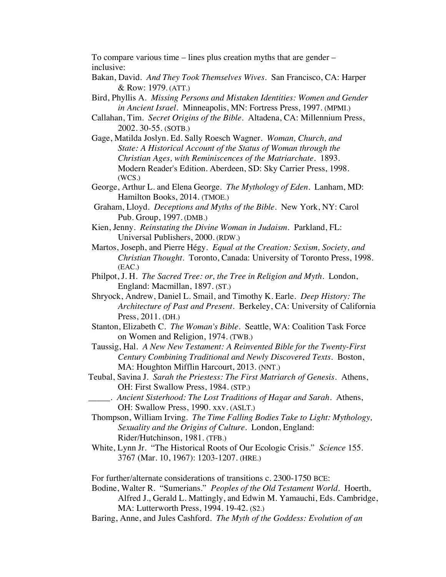To compare various time – lines plus creation myths that are gender – inclusive:

- Bakan, David. *And They Took Themselves Wives*. San Francisco, CA: Harper & Row: 1979. (ATT.)
- Bird, Phyllis A. *Missing Persons and Mistaken Identities: Women and Gender in Ancient Israel.* Minneapolis, MN: Fortress Press, 1997. (MPMI.)
- Callahan, Tim. *Secret Origins of the Bible.* Altadena, CA: Millennium Press, 2002. 30-55. (SOTB.)
- Gage, Matilda Joslyn. Ed. Sally Roesch Wagner. *Woman, Church, and State: A Historical Account of the Status of Woman through the Christian Ages, with Reminiscences of the Matriarchate*. 1893. Modern Reader's Edition. Aberdeen, SD: Sky Carrier Press, 1998. (WCS.)
- George, Arthur L. and Elena George. *The Mythology of Eden*. Lanham, MD: Hamilton Books, 2014. (TMOE.)
- Graham, Lloyd. *Deceptions and Myths of the Bible*. New York, NY: Carol Pub. Group, 1997. (DMB.)
- Kien, Jenny. *Reinstating the Divine Woman in Judaism.* Parkland, FL: Universal Publishers, 2000. (RDW.)
- Martos, Joseph, and Pierre Hégy. *Equal at the Creation: Sexism, Society, and Christian Thought*. Toronto, Canada: University of Toronto Press, 1998. (EAC.)
- Philpot, J. H. *The Sacred Tree: or, the Tree in Religion and Myth*. London, England: Macmillan, 1897. (ST.)
- Shryock, Andrew, Daniel L. Smail, and Timothy K. Earle. *Deep History: The Architecture of Past and Present*. Berkeley, CA: University of California Press, 2011. (DH.)
- Stanton, Elizabeth C. *The Woman's Bible*. Seattle, WA: Coalition Task Force on Women and Religion, 1974. (TWB.)
- Taussig, Hal. *A New New Testament: A Reinvented Bible for the Twenty-First Century Combining Traditional and Newly Discovered Texts*. Boston, MA: Houghton Mifflin Harcourt, 2013. (NNT.)
- Teubal, Savina J. *Sarah the Priestess: The First Matriarch of Genesis*. Athens, OH: First Swallow Press, 1984. (STP.)
- \_\_\_\_\_. *Ancient Sisterhood: The Lost Traditions of Hagar and Sarah*. Athens, OH: Swallow Press, 1990. xxv. (ASLT.)
- Thompson, William Irving. *The Time Falling Bodies Take to Light: Mythology, Sexuality and the Origins of Culture.* London, England: Rider/Hutchinson, 1981. (TFB.)
- White, Lynn Jr. "The Historical Roots of Our Ecologic Crisis." *Science* 155. 3767 (Mar. 10, 1967): 1203-1207. (HRE.)

For further/alternate considerations of transitions c. 2300-1750 BCE:

- Bodine, Walter R. "Sumerians." *Peoples of the Old Testament World.* Hoerth, Alfred J., Gerald L. Mattingly, and Edwin M. Yamauchi, Eds. Cambridge, MA: Lutterworth Press, 1994. 19-42. (S2.)
- Baring, Anne, and Jules Cashford. *The Myth of the Goddess: Evolution of an*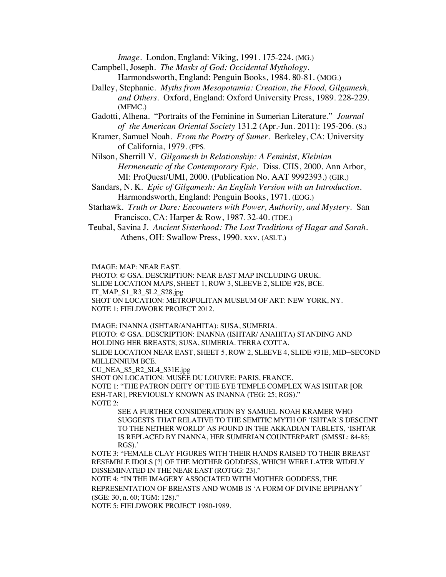*Image*. London, England: Viking, 1991. 175-224. (MG.)

- Campbell, Joseph. *The Masks of God: Occidental Mythology.* Harmondsworth, England: Penguin Books, 1984. 80-81. (MOG.)
	-
- Dalley, Stephanie. *Myths from Mesopotamia: Creation, the Flood, Gilgamesh, and Others*. Oxford, England: Oxford University Press, 1989. 228-229. (MFMC.)
- Gadotti, Alhena. "Portraits of the Feminine in Sumerian Literature." *Journal of the American Oriental Society* 131.2 (Apr.-Jun. 2011): 195-206. (S.)
- Kramer, Samuel Noah. *From the Poetry of Sumer*. Berkeley, CA: University of California, 1979. (FPS.

Nilson, Sherrill V. *Gilgamesh in Relationship: A Feminist, Kleinian Hermeneutic of the Contemporary Epic.* Diss. CIIS, 2000. Ann Arbor, MI: ProQuest/UMI, 2000. (Publication No. AAT 9992393.) (GIR.)

- Sandars, N. K. *Epic of Gilgamesh: An English Version with an Introduction.* Harmondsworth, England: Penguin Books, 1971. (EOG.)
- Starhawk. *Truth or Dare: Encounters with Power, Authority, and Mystery.* San Francisco, CA: Harper & Row, 1987. 32-40. (TDE.)
- Teubal, Savina J. *Ancient Sisterhood: The Lost Traditions of Hagar and Sarah*. Athens, OH: Swallow Press, 1990. xxv. (ASLT.)

IMAGE: MAP: NEAR EAST.

PHOTO: © GSA. DESCRIPTION: NEAR EAST MAP INCLUDING URUK. SLIDE LOCATION MAPS, SHEET 1, ROW 3, SLEEVE 2, SLIDE #28, BCE. IT\_MAP\_S1\_R3\_SL2\_S28.jpg SHOT ON LOCATION: METROPOLITAN MUSEUM OF ART: NEW YORK, NY. NOTE 1: FIELDWORK PROJECT 2012.

IMAGE: INANNA (ISHTAR/ANAHITA): SUSA, SUMERIA. PHOTO: © GSA. DESCRIPTION: INANNA (ISHTAR/ ANAHITA) STANDING AND HOLDING HER BREASTS; SUSA, SUMERIA. TERRA COTTA. SLIDE LOCATION NEAR EAST, SHEET 5, ROW 2, SLEEVE 4, SLIDE #31E, MID–SECOND MILLENNIUM BCE.

CU\_NEA\_S5\_R2\_SL4\_S31E.jpg

SHOT ON LOCATION: MUSÉE DU LOUVRE: PARIS, FRANCE. NOTE 1: "THE PATRON DEITY OF THE EYE TEMPLE COMPLEX WAS ISHTAR **[**OR ESH-TAR], PREVIOUSLY KNOWN AS INANNA (TEG: 25; RGS)." NOTE 2:

SEE A FURTHER CONSIDERATION BY SAMUEL NOAH KRAMER WHO SUGGESTS THAT RELATIVE TO THE SEMITIC MYTH OF 'ISHTAR'S DESCENT TO THE NETHER WORLD' AS FOUND IN THE AKKADIAN TABLETS, 'ISHTAR IS REPLACED BY INANNA, HER SUMERIAN COUNTERPART (SMSSL: 84-85; RGS).'

NOTE 3: "FEMALE CLAY FIGURES WITH THEIR HANDS RAISED TO THEIR BREAST RESEMBLE IDOLS [?] OF THE MOTHER GODDESS, WHICH WERE LATER WIDELY DISSEMINATED IN THE NEAR EAST (ROTGG: 23)."

NOTE 4: "IN THE IMAGERY ASSOCIATED WITH MOTHER GODDESS, THE REPRESENTATION OF BREASTS AND WOMB IS 'A FORM OF DIVINE EPIPHANY*'*  (SGE: 30, n. 60; TGM: 128)."

NOTE 5: FIELDWORK PROJECT 1980-1989.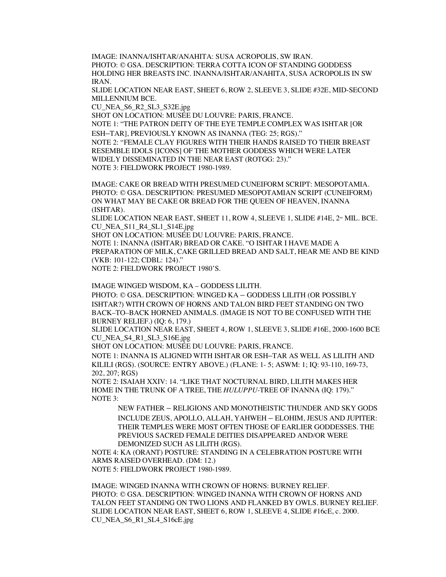IMAGE: INANNA/ISHTAR/ANAHITA: SUSA ACROPOLIS, SW IRAN. PHOTO: © GSA. DESCRIPTION: TERRA COTTA ICON OF STANDING GODDESS HOLDING HER BREASTS INC. INANNA/ISHTAR/ANAHITA, SUSA ACROPOLIS IN SW IRAN.

SLIDE LOCATION NEAR EAST, SHEET 6, ROW 2, SLEEVE 3, SLIDE #32E, MID-SECOND MILLENNIUM BCE.

CU\_NEA\_S6\_R2\_SL3\_S32E.jpg

SHOT ON LOCATION: MUSÉE DU LOUVRE: PARIS, FRANCE.

NOTE 1: "THE PATRON DEITY OF THE EYE TEMPLE COMPLEX WAS ISHTAR [OR ESH–TAR], PREVIOUSLY KNOWN AS INANNA (TEG: 25; RGS)."

NOTE 2: "FEMALE CLAY FIGURES WITH THEIR HANDS RAISED TO THEIR BREAST RESEMBLE IDOLS [ICONS] OF THE MOTHER GODDESS WHICH WERE LATER WIDELY DISSEMINATED IN THE NEAR EAST (ROTGG: 23)." NOTE 3: FIELDWORK PROJECT 1980-1989.

IMAGE: CAKE OR BREAD WITH PRESUMED CUNEIFORM SCRIPT: MESOPOTAMIA. PHOTO: © GSA. DESCRIPTION: PRESUMED MESOPOTAMIAN SCRIPT (CUNEIFORM) ON WHAT MAY BE CAKE OR BREAD FOR THE QUEEN OF HEAVEN, INANNA (ISHTAR).

SLIDE LOCATION NEAR EAST, SHEET 11, ROW 4, SLEEVE 1, SLIDE #14E,  $2^{\omega}$  MIL. BCE. CU\_NEA\_S11\_R4\_SL1\_S14E.jpg

SHOT ON LOCATION: MUSÉE DU LOUVRE: PARIS, FRANCE. NOTE 1: INANNA (ISHTAR) BREAD OR CAKE. "O ISHTAR I HAVE MADE A PREPARATION OF MILK, CAKE GRILLED BREAD AND SALT, HEAR ME AND BE KIND (VKB: 101-122; CDBL: 124)."

NOTE 2: FIELDWORK PROJECT 1980'S.

IMAGE WINGED WISDOM, KA – GODDESS LILITH.

PHOTO: © GSA. DESCRIPTION: WINGED KA – GODDESS LILITH (OR POSSIBLY ISHTAR?) WITH CROWN OF HORNS AND TALON BIRD FEET STANDING ON TWO BACK–TO–BACK HORNED ANIMALS. (IMAGE IS NOT TO BE CONFUSED WITH THE BURNEY RELIEF.) (IQ: 6, 179.)

SLIDE LOCATION NEAR EAST, SHEET 4, ROW 1, SLEEVE 3, SLIDE #16E, 2000-1600 BCE CU\_NEA\_S4\_R1\_SL3\_S16E.jpg

SHOT ON LOCATION: MUSÉE DU LOUVRE: PARIS, FRANCE.

NOTE 1: INANNA IS ALIGNED WITH ISHTAR OR ESH–TAR AS WELL AS LILITH AND KILILI (RGS). (SOURCE: ENTRY ABOVE.) (FLANE: 1- 5; ASWM: 1; IQ: 93-110, 169-73, 202, 207; RGS)

NOTE 2: ISAIAH XXIV: 14. "LIKE THAT NOCTURNAL BIRD, LILITH MAKES HER HOME IN THE TRUNK OF A TREE, THE *HULUPPU*-TREE OF INANNA (IQ: 179)." NOTE 3:

NEW FATHER – RELIGIONS AND MONOTHEISTIC THUNDER AND SKY GODS INCLUDE ZEUS, APOLLO, ALLAH, YAHWEH – ELOHIM, JESUS AND JUPITER: THEIR TEMPLES WERE MOST OFTEN THOSE OF EARLIER GODDESSES. THE PREVIOUS SACRED FEMALE DEITIES DISAPPEARED AND/OR WERE DEMONIZED SUCH AS LILITH (RGS).

NOTE 4: KA (ORANT) POSTURE: STANDING IN A CELEBRATION POSTURE WITH ARMS RAISED OVERHEAD. (DM: 12.)

NOTE 5: FIELDWORK PROJECT 1980-1989.

IMAGE: WINGED INANNA WITH CROWN OF HORNS: BURNEY RELIEF. PHOTO: © GSA. DESCRIPTION: WINGED INANNA WITH CROWN OF HORNS AND TALON FEET STANDING ON TWO LIONS AND FLANKED BY OWLS. BURNEY RELIEF. SLIDE LOCATION NEAR EAST, SHEET 6, ROW 1, SLEEVE 4, SLIDE #16cE, c. 2000. CU\_NEA\_S6\_R1\_SL4\_S16cE.jpg